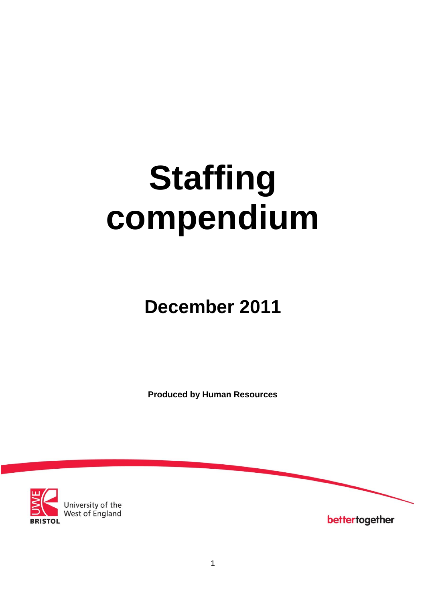# **Staffing compendium**

## **December 2011**

**Produced by Human Resources**



bettertogether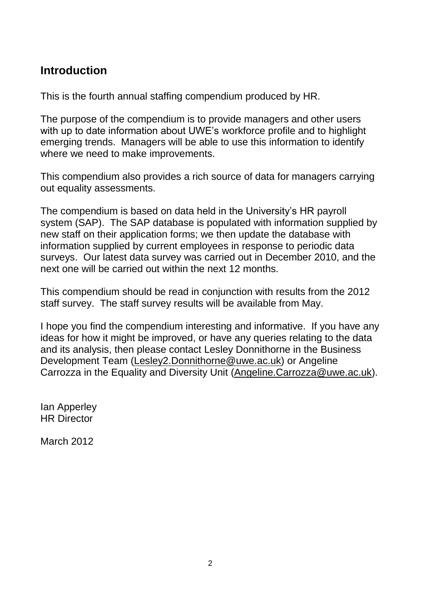## **Introduction**

This is the fourth annual staffing compendium produced by HR.

The purpose of the compendium is to provide managers and other users with up to date information about UWE's workforce profile and to highlight emerging trends. Managers will be able to use this information to identify where we need to make improvements.

This compendium also provides a rich source of data for managers carrying out equality assessments.

The compendium is based on data held in the University's HR payroll system (SAP). The SAP database is populated with information supplied by new staff on their application forms; we then update the database with information supplied by current employees in response to periodic data surveys. Our latest data survey was carried out in December 2010, and the next one will be carried out within the next 12 months.

This compendium should be read in conjunction with results from the 2012 staff survey. The staff survey results will be available from May.

I hope you find the compendium interesting and informative. If you have any ideas for how it might be improved, or have any queries relating to the data and its analysis, then please contact Lesley Donnithorne in the Business Development Team [\(Lesley2.Donnithorne@uwe.ac.uk\)](mailto:Lesley2.Donnithorne@uwe.ac.uk) or Angeline Carrozza in the Equality and Diversity Unit (Angeline.Carrozza@uwe.ac.uk).

Ian Apperley HR Director

March 2012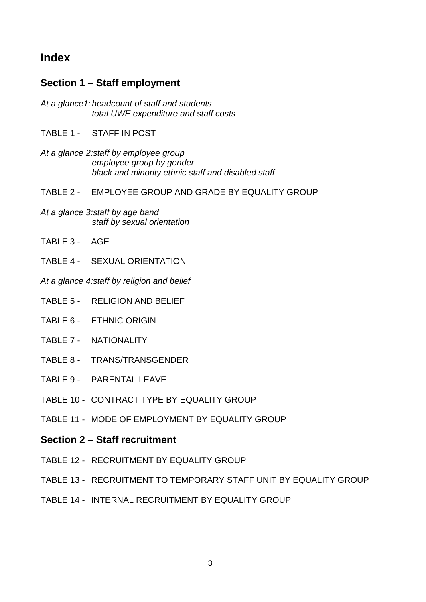## **Index**

#### **Section 1 – Staff employment**

- *At a glance1: headcount of staff and students total UWE expenditure and staff costs*
- TABLE 1 STAFF IN POST
- *At a glance 2:staff by employee group employee group by gender black and minority ethnic staff and disabled staff*
- TABLE 2 EMPLOYEE GROUP AND GRADE BY EQUALITY GROUP
- *At a glance 3:staff by age band staff by sexual orientation*
- TABLE 3 AGE
- TABLE 4 SEXUAL ORIENTATION
- *At a glance 4:staff by religion and belief*
- TABLE 5 RELIGION AND BELIEF
- TABLE 6 ETHNIC ORIGIN
- TABLE 7 NATIONALITY
- TABLE 8 TRANS/TRANSGENDER
- TABLE 9 PARENTAL LEAVE
- TABLE 10 CONTRACT TYPE BY EQUALITY GROUP
- TABLE 11 MODE OF EMPLOYMENT BY EQUALITY GROUP
- **Section 2 – Staff recruitment**
- TABLE 12 RECRUITMENT BY EQUALITY GROUP
- TABLE 13 RECRUITMENT TO TEMPORARY STAFF UNIT BY EQUALITY GROUP
- TABLE 14 INTERNAL RECRUITMENT BY EQUALITY GROUP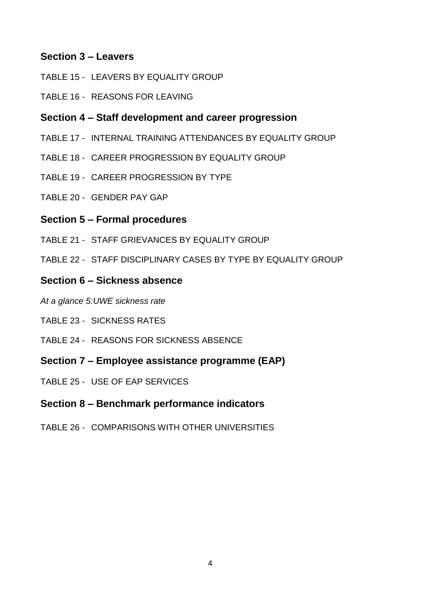#### **Section 3 – Leavers**

- TABLE 15 LEAVERS BY EQUALITY GROUP
- TABLE 16 REASONS FOR LEAVING

#### **Section 4 – Staff development and career progression**

- TABLE 17 INTERNAL TRAINING ATTENDANCES BY EQUALITY GROUP
- TABLE 18 CAREER PROGRESSION BY EQUALITY GROUP
- TABLE 19 CAREER PROGRESSION BY TYPE
- TABLE 20 GENDER PAY GAP

#### **Section 5 – Formal procedures**

- TABLE 21 STAFF GRIEVANCES BY EQUALITY GROUP
- TABLE 22 STAFF DISCIPLINARY CASES BY TYPE BY EQUALITY GROUP

#### **Section 6 – Sickness absence**

- *At a glance 5:UWE sickness rate*
- TABLE 23 SICKNESS RATES
- TABLE 24 REASONS FOR SICKNESS ABSENCE
- **Section 7 – Employee assistance programme (EAP)**
- TABLE 25 USE OF EAP SERVICES

#### **Section 8 – Benchmark performance indicators**

TABLE 26 - COMPARISONS WITH OTHER UNIVERSITIES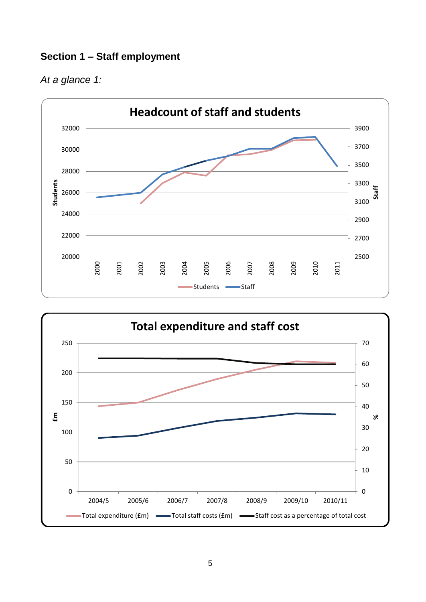### **Section 1 – Staff employment**





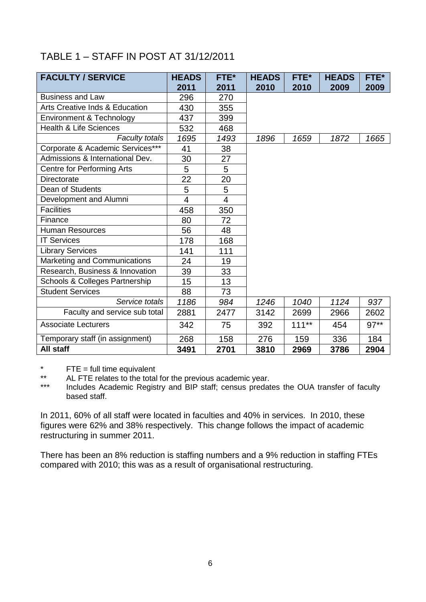## TABLE 1 – STAFF IN POST AT 31/12/2011

| <b>FACULTY / SERVICE</b>                  | <b>HEADS</b>   | FTE* | <b>HEADS</b> | FTE*     | <b>HEADS</b> | FTE*   |
|-------------------------------------------|----------------|------|--------------|----------|--------------|--------|
|                                           | 2011           | 2011 | 2010         | 2010     | 2009         | 2009   |
| <b>Business and Law</b>                   | 296            | 270  |              |          |              |        |
| <b>Arts Creative Inds &amp; Education</b> | 430            | 355  |              |          |              |        |
| Environment & Technology                  | 437            | 399  |              |          |              |        |
| <b>Health &amp; Life Sciences</b>         | 532            | 468  |              |          |              |        |
| <b>Faculty totals</b>                     | 1695           | 1493 | 1896         | 1659     | 1872         | 1665   |
| Corporate & Academic Services***          | 41             | 38   |              |          |              |        |
| Admissions & International Dev.           | 30             | 27   |              |          |              |        |
| Centre for Performing Arts                | 5              | 5    |              |          |              |        |
| <b>Directorate</b>                        | 22             | 20   |              |          |              |        |
| Dean of Students                          | 5              | 5    |              |          |              |        |
| Development and Alumni                    | $\overline{4}$ | 4    |              |          |              |        |
| <b>Facilities</b>                         | 458            | 350  |              |          |              |        |
| Finance                                   | 80             | 72   |              |          |              |        |
| <b>Human Resources</b>                    | 56             | 48   |              |          |              |        |
| <b>IT Services</b>                        | 178            | 168  |              |          |              |        |
| <b>Library Services</b>                   | 141            | 111  |              |          |              |        |
| Marketing and Communications              | 24             | 19   |              |          |              |        |
| Research, Business & Innovation           | 39             | 33   |              |          |              |        |
| Schools & Colleges Partnership            | 15             | 13   |              |          |              |        |
| <b>Student Services</b>                   | 88             | 73   |              |          |              |        |
| Service totals                            | 1186           | 984  | 1246         | 1040     | 1124         | 937    |
| Faculty and service sub total             | 2881           | 2477 | 3142         | 2699     | 2966         | 2602   |
| <b>Associate Lecturers</b>                | 342            | 75   | 392          | $111***$ | 454          | $97**$ |
| Temporary staff (in assignment)           | 268            | 158  | 276          | 159      | 336          | 184    |
| All staff                                 | 3491           | 2701 | 3810         | 2969     | 3786         | 2904   |

\*  $FTE = full time equivalent$ <br>\*\*  $ALETE$  relates to the total

\*\* AL FTE relates to the total for the previous academic year.<br>\*\*\* Prejudes Academic Begistry and BIP staff: consus prodati

Includes Academic Registry and BIP staff; census predates the OUA transfer of faculty based staff.

In 2011, 60% of all staff were located in faculties and 40% in services. In 2010, these figures were 62% and 38% respectively. This change follows the impact of academic restructuring in summer 2011.

There has been an 8% reduction is staffing numbers and a 9% reduction in staffing FTEs compared with 2010; this was as a result of organisational restructuring.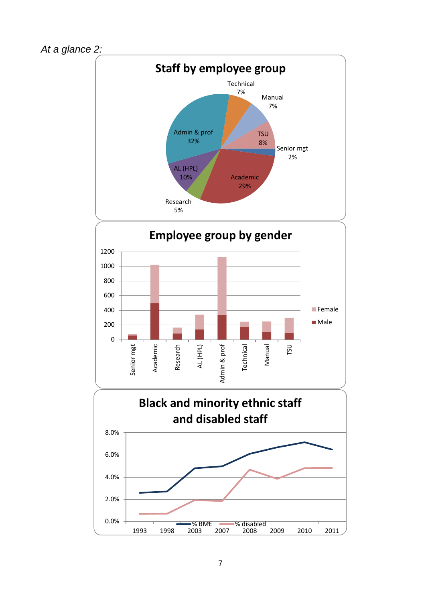



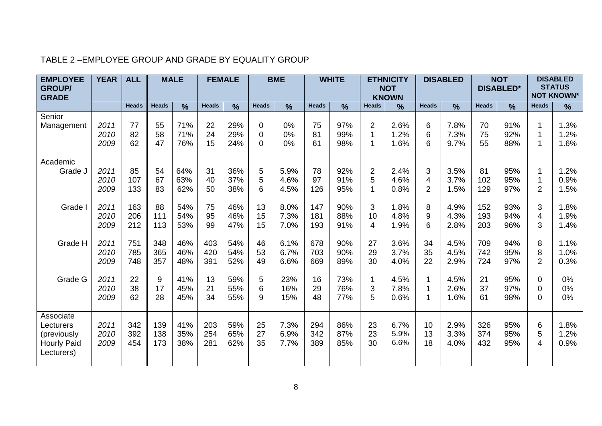| <b>EMPLOYEE</b><br><b>GROUP/</b>                | <b>YEAR</b>  | <b>ALL</b>   |              | <b>MALE</b>   |              | <b>FEMALE</b> |                      | <b>BME</b>   |              | <b>WHITE</b>  |                     | <b>ETHNICITY</b><br><b>NOT</b> | <b>DISABLED</b>               |               | <b>NOT</b><br><b>DISABLED*</b> |               | <b>DISABLED</b><br><b>STATUS</b><br><b>NOT KNOWN*</b> |               |
|-------------------------------------------------|--------------|--------------|--------------|---------------|--------------|---------------|----------------------|--------------|--------------|---------------|---------------------|--------------------------------|-------------------------------|---------------|--------------------------------|---------------|-------------------------------------------------------|---------------|
| <b>GRADE</b>                                    |              |              |              |               |              |               |                      |              |              |               |                     | <b>KNOWN</b>                   |                               |               |                                |               |                                                       |               |
|                                                 |              | <b>Heads</b> | <b>Heads</b> | $\frac{9}{6}$ | <b>Heads</b> | $\frac{9}{6}$ | <b>Heads</b>         | %            | <b>Heads</b> | $\frac{9}{6}$ | <b>Heads</b>        | $\frac{0}{0}$                  | <b>Heads</b>                  | $\frac{9}{6}$ | <b>Heads</b>                   | $\frac{0}{0}$ | <b>Heads</b>                                          | $\frac{9}{6}$ |
| Senior<br>Management                            | 2011         | 77           | 55           | 71%           | 22           | 29%           | $\mathbf 0$          | 0%           | 75           | 97%           | $\overline{2}$<br>1 | 2.6%                           | 6                             | 7.8%          | 70                             | 91%           | 1                                                     | 1.3%          |
|                                                 | 2010<br>2009 | 82<br>62     | 58<br>47     | 71%<br>76%    | 24<br>15     | 29%<br>24%    | $\Omega$<br>$\Omega$ | 0%<br>0%     | 81<br>61     | 99%<br>98%    | 1                   | 1.2%<br>1.6%                   | 6<br>6                        | 7.3%<br>9.7%  | 75<br>55                       | 92%<br>88%    | 1                                                     | 1.2%<br>1.6%  |
| Academic                                        |              |              |              |               |              |               |                      |              |              |               |                     |                                |                               |               |                                |               |                                                       |               |
| Grade J                                         | 2011<br>2010 | 85<br>107    | 54<br>67     | 64%<br>63%    | 31<br>40     | 36%<br>37%    | 5<br>5               | 5.9%<br>4.6% | 78<br>97     | 92%<br>91%    | $\overline{2}$<br>5 | 2.4%<br>4.6%                   | $\mathsf 3$<br>$\overline{4}$ | 3.5%<br>3.7%  | 81<br>102                      | 95%<br>95%    | 1<br>1                                                | 1.2%<br>0.9%  |
|                                                 | 2009         | 133          | 83           | 62%           | 50           | 38%           | 6                    | 4.5%         | 126          | 95%           | 1                   | 0.8%                           | $\overline{2}$                | 1.5%          | 129                            | 97%           | $\overline{2}$                                        | 1.5%          |
| Grade                                           | 2011<br>2010 | 163<br>206   | 88<br>111    | 54%<br>54%    | 75<br>95     | 46%<br>46%    | 13<br>15             | 8.0%<br>7.3% | 147<br>181   | 90%<br>88%    | 3<br>10             | 1.8%<br>4.8%                   | 8<br>9                        | 4.9%<br>4.3%  | 152<br>193                     | 93%<br>94%    | 3<br>4                                                | 1.8%<br>1.9%  |
|                                                 | 2009         | 212          | 113          | 53%           | 99           | 47%           | 15                   | 7.0%         | 193          | 91%           | $\overline{4}$      | 1.9%                           | 6                             | 2.8%          | 203                            | 96%           | 3                                                     | 1.4%          |
| Grade H                                         | 2011<br>2010 | 751<br>785   | 348<br>365   | 46%<br>46%    | 403<br>420   | 54%<br>54%    | 46<br>53             | 6.1%<br>6.7% | 678<br>703   | 90%<br>90%    | 27<br>29            | 3.6%<br>3.7%                   | 34<br>35                      | 4.5%<br>4.5%  | 709<br>742                     | 94%<br>95%    | 8<br>8                                                | 1.1%<br>1.0%  |
|                                                 | 2009         | 748          | 357          | 48%           | 391          | 52%           | 49                   | 6.6%         | 669          | 89%           | 30                  | 4.0%                           | 22                            | 2.9%          | 724                            | 97%           | $\overline{2}$                                        | 0.3%          |
| Grade G                                         | 2011<br>2010 | 22<br>38     | 9<br>17      | 41%<br>45%    | 13<br>21     | 59%<br>55%    | 5<br>6               | 23%<br>16%   | 16<br>29     | 73%<br>76%    | 1<br>3              | 4.5%<br>7.8%                   | 1<br>1                        | 4.5%<br>2.6%  | 21<br>37                       | 95%<br>97%    | 0<br>$\Omega$                                         | 0%<br>0%      |
|                                                 | 2009         | 62           | 28           | 45%           | 34           | 55%           | 9                    | 15%          | 48           | 77%           | 5                   | 0.6%                           | 1                             | 1.6%          | 61                             | 98%           | 0                                                     | 0%            |
| Associate<br>Lecturers                          | 2011         | 342          | 139          | 41%           | 203          | 59%           | 25                   | 7.3%         | 294          | 86%           | 23                  | 6.7%                           | 10                            | 2.9%          | 326                            | 95%           | 6                                                     | 1.8%          |
| (previously<br><b>Hourly Paid</b><br>Lecturers) | 2010<br>2009 | 392<br>454   | 138<br>173   | 35%<br>38%    | 254<br>281   | 65%<br>62%    | 27<br>35             | 6.9%<br>7.7% | 342<br>389   | 87%<br>85%    | 23<br>30            | 5.9%<br>6.6%                   | 13<br>18                      | 3.3%<br>4.0%  | 374<br>432                     | 95%<br>95%    | 5<br>4                                                | 1.2%<br>0.9%  |
|                                                 |              |              |              |               |              |               |                      |              |              |               |                     |                                |                               |               |                                |               |                                                       |               |

#### TABLE 2 –EMPLOYEE GROUP AND GRADE BY EQUALITY GROUP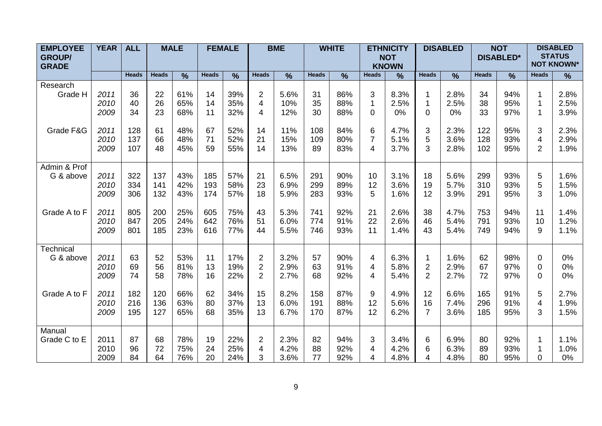| <b>EMPLOYEE</b><br><b>GROUP/</b><br><b>GRADE</b> | <b>YEAR</b>  | <b>ALL</b>   |              | <b>MALE</b>   |              | <b>FEMALE</b> |                | <b>BME</b> |              | <b>WHITE</b>  |                | <b>ETHNICITY</b><br><b>NOT</b><br><b>KNOWN</b> |                | <b>DISABLED</b> |              | <b>NOT</b><br><b>DISABLED*</b> |              | <b>DISABLED</b><br><b>STATUS</b><br><b>NOT KNOWN*</b> |  |
|--------------------------------------------------|--------------|--------------|--------------|---------------|--------------|---------------|----------------|------------|--------------|---------------|----------------|------------------------------------------------|----------------|-----------------|--------------|--------------------------------|--------------|-------------------------------------------------------|--|
|                                                  |              | <b>Heads</b> | <b>Heads</b> | $\frac{0}{0}$ | <b>Heads</b> | $\frac{9}{6}$ | <b>Heads</b>   | $\%$       | <b>Heads</b> | $\frac{9}{6}$ | <b>Heads</b>   | $\frac{9}{6}$                                  | <b>Heads</b>   | $\frac{9}{6}$   | <b>Heads</b> | $\frac{9}{6}$                  | <b>Heads</b> | $\%$                                                  |  |
| Research                                         |              |              |              |               |              |               |                |            |              |               |                |                                                |                |                 |              |                                |              |                                                       |  |
| Grade H                                          | 2011         | 36           | 22           | 61%           | 14           | 39%           | $\overline{2}$ | 5.6%       | 31           | 86%           | 3              | 8.3%                                           | 1              | 2.8%            | 34           | 94%                            |              | 2.8%                                                  |  |
|                                                  | 2010         | 40           | 26           | 65%           | 14           | 35%           | 4              | 10%        | 35           | 88%           | $\mathbf{1}$   | 2.5%                                           | $\mathbf 1$    | 2.5%            | 38           | 95%                            |              | 2.5%                                                  |  |
|                                                  | 2009         | 34           | 23           | 68%           | 11           | 32%           | 4              | 12%        | 30           | 88%           | $\overline{0}$ | 0%                                             | $\Omega$       | 0%              | 33           | 97%                            |              | 3.9%                                                  |  |
|                                                  |              |              |              |               |              |               |                |            |              |               |                |                                                |                |                 |              |                                |              |                                                       |  |
| Grade F&G                                        | 2011         | 128          | 61           | 48%           | 67           | 52%           | 14             | 11%        | 108          | 84%           | 6              | 4.7%                                           | 3              | 2.3%            | 122          | 95%                            | 3            | 2.3%                                                  |  |
|                                                  | 2010<br>2009 | 137<br>107   | 66<br>48     | 48%<br>45%    | 71<br>59     | 52%<br>55%    | 21<br>14       | 15%<br>13% | 109<br>89    | 80%<br>83%    | $\overline{7}$ | 5.1%<br>3.7%                                   | 5<br>3         | 3.6%<br>2.8%    | 128<br>102   | 93%<br>95%                     | 4<br>2       | 2.9%<br>1.9%                                          |  |
|                                                  |              |              |              |               |              |               |                |            |              |               | 4              |                                                |                |                 |              |                                |              |                                                       |  |
| Admin & Prof                                     |              |              |              |               |              |               |                |            |              |               |                |                                                |                |                 |              |                                |              |                                                       |  |
| G & above                                        | 2011         | 322          | 137          | 43%           | 185          | 57%           | 21             | 6.5%       | 291          | 90%           | 10             | 3.1%                                           | 18             | 5.6%            | 299          | 93%                            | 5            | 1.6%                                                  |  |
|                                                  | 2010         | 334          | 141          | 42%           | 193          | 58%           | 23             | 6.9%       | 299          | 89%           | 12             | 3.6%                                           | 19             | 5.7%            | 310          | 93%                            | 5            | 1.5%                                                  |  |
|                                                  | 2009         | 306          | 132          | 43%           | 174          | 57%           | 18             | 5.9%       | 283          | 93%           | 5              | 1.6%                                           | 12             | 3.9%            | 291          | 95%                            | 3            | 1.0%                                                  |  |
|                                                  |              |              |              |               |              |               |                |            |              |               |                |                                                |                |                 |              |                                |              |                                                       |  |
| Grade A to F                                     | 2011         | 805          | 200          | 25%           | 605          | 75%           | 43             | 5.3%       | 741          | 92%           | 21             | 2.6%                                           | 38             | 4.7%            | 753          | 94%                            | 11           | 1.4%                                                  |  |
|                                                  | 2010         | 847          | 205          | 24%           | 642          | 76%           | 51             | 6.0%       | 774          | 91%           | 22             | 2.6%                                           | 46             | 5.4%            | 791          | 93%                            | 10           | 1.2%                                                  |  |
|                                                  | 2009         | 801          | 185          | 23%           | 616          | 77%           | 44             | 5.5%       | 746          | 93%           | 11             | 1.4%                                           | 43             | 5.4%            | 749          | 94%                            | 9            | 1.1%                                                  |  |
|                                                  |              |              |              |               |              |               |                |            |              |               |                |                                                |                |                 |              |                                |              |                                                       |  |
| Technical<br>G & above                           | 2011         | 63           | 52           | 53%           | 11           | 17%           | 2              | 3.2%       | 57           | 90%           | 4              | 6.3%                                           | 1              | 1.6%            | 62           | 98%                            | 0            | $0\%$                                                 |  |
|                                                  | 2010         | 69           | 56           | 81%           | 13           | 19%           | 2              | 2.9%       | 63           | 91%           | 4              | 5.8%                                           | $\overline{2}$ | 2.9%            | 67           | 97%                            | $\Omega$     | 0%                                                    |  |
|                                                  | 2009         | 74           | 58           | 78%           | 16           | 22%           | $\overline{2}$ | 2.7%       | 68           | 92%           | 4              | 5.4%                                           | $\overline{2}$ | 2.7%            | 72           | 97%                            | 0            | 0%                                                    |  |
|                                                  |              |              |              |               |              |               |                |            |              |               |                |                                                |                |                 |              |                                |              |                                                       |  |
| Grade A to F                                     | 2011         | 182          | 120          | 66%           | 62           | 34%           | 15             | 8.2%       | 158          | 87%           | 9              | 4.9%                                           | 12             | 6.6%            | 165          | 91%                            | 5            | 2.7%                                                  |  |
|                                                  | 2010         | 216          | 136          | 63%           | 80           | 37%           | 13             | 6.0%       | 191          | 88%           | 12             | 5.6%                                           | 16             | 7.4%            | 296          | 91%                            | 4            | 1.9%                                                  |  |
|                                                  | 2009         | 195          | 127          | 65%           | 68           | 35%           | 13             | 6.7%       | 170          | 87%           | 12             | 6.2%                                           | $\overline{7}$ | 3.6%            | 185          | 95%                            | 3            | 1.5%                                                  |  |
|                                                  |              |              |              |               |              |               |                |            |              |               |                |                                                |                |                 |              |                                |              |                                                       |  |
| Manual                                           |              |              |              |               |              |               |                |            |              |               |                |                                                |                |                 |              |                                |              |                                                       |  |
| Grade C to E                                     | 2011         | 87           | 68           | 78%           | 19           | 22%           | $\overline{2}$ | 2.3%       | 82           | 94%           | 3              | 3.4%                                           | 6              | 6.9%            | 80           | 92%                            | 1            | 1.1%                                                  |  |
|                                                  | 2010         | 96           | 72           | 75%           | 24           | 25%           | 4              | 4.2%       | 88           | 92%           | 4              | 4.2%                                           | 6              | 6.3%            | 89           | 93%                            |              | 1.0%                                                  |  |
|                                                  | 2009         | 84           | 64           | 76%           | 20           | 24%           | 3              | 3.6%       | 77           | 92%           | 4              | 4.8%                                           | 4              | 4.8%            | 80           | 95%                            | 0            | 0%                                                    |  |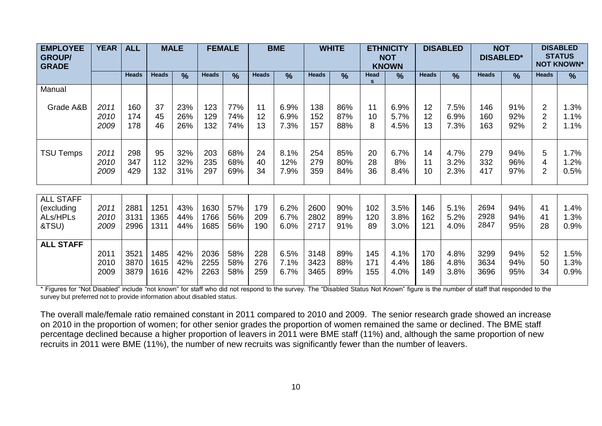| <b>EMPLOYEE</b><br><b>GROUP/</b><br><b>GRADE</b>    | <b>YEAR</b>          | <b>ALL</b>           |                      | <b>MALE</b>       |                      | <b>FEMALE</b>     |                   | <b>BME</b>           |                      | <b>WHITE</b>      |                   | <b>ETHNICITY</b><br><b>NOT</b><br><b>KNOWN</b> |                   | <b>DISABLED</b>      | <b>NOT</b><br><b>DISABLED*</b> |                   | <b>DISABLED</b><br><b>STATUS</b><br><b>NOT KNOWN*</b> |                      |
|-----------------------------------------------------|----------------------|----------------------|----------------------|-------------------|----------------------|-------------------|-------------------|----------------------|----------------------|-------------------|-------------------|------------------------------------------------|-------------------|----------------------|--------------------------------|-------------------|-------------------------------------------------------|----------------------|
|                                                     |                      | <b>Heads</b>         | <b>Heads</b>         | $\frac{0}{0}$     | <b>Heads</b>         | $\frac{9}{6}$     | <b>Heads</b>      | $\frac{0}{0}$        | <b>Heads</b>         | $\frac{9}{6}$     | Head              | $\frac{9}{6}$                                  | <b>Heads</b>      | $\frac{9}{6}$        | <b>Heads</b>                   | $\frac{9}{6}$     | <b>Heads</b>                                          | $\frac{0}{0}$        |
| Manual                                              |                      |                      |                      |                   |                      |                   |                   |                      |                      |                   |                   |                                                |                   |                      |                                |                   |                                                       |                      |
| Grade A&B                                           | 2011<br>2010<br>2009 | 160<br>174<br>178    | 37<br>45<br>46       | 23%<br>26%<br>26% | 123<br>129<br>132    | 77%<br>74%<br>74% | 11<br>12<br>13    | 6.9%<br>6.9%<br>7.3% | 138<br>152<br>157    | 86%<br>87%<br>88% | 11<br>10<br>8     | 6.9%<br>5.7%<br>4.5%                           | 12<br>12<br>13    | 7.5%<br>6.9%<br>7.3% | 146<br>160<br>163              | 91%<br>92%<br>92% | $\overline{2}$<br>$\overline{2}$<br>$\overline{2}$    | 1.3%<br>1.1%<br>1.1% |
| <b>TSU Temps</b>                                    | 2011<br>2010<br>2009 | 298<br>347<br>429    | 95<br>112<br>132     | 32%<br>32%<br>31% | 203<br>235<br>297    | 68%<br>68%<br>69% | 24<br>40<br>34    | 8.1%<br>12%<br>7.9%  | 254<br>279<br>359    | 85%<br>80%<br>84% | 20<br>28<br>36    | 6.7%<br>8%<br>8.4%                             | 14<br>11<br>10    | 4.7%<br>3.2%<br>2.3% | 279<br>332<br>417              | 94%<br>96%<br>97% | 5<br>4<br>$\overline{2}$                              | 1.7%<br>1.2%<br>0.5% |
| <b>ALL STAFF</b><br>(excluding<br>ALs/HPLs<br>&TSU) | 2011<br>2010<br>2009 | 2881<br>3131<br>2996 | 1251<br>1365<br>1311 | 43%<br>44%<br>44% | 1630<br>1766<br>1685 | 57%<br>56%<br>56% | 179<br>209<br>190 | 6.2%<br>6.7%<br>6.0% | 2600<br>2802<br>2717 | 90%<br>89%<br>91% | 102<br>120<br>89  | 3.5%<br>3.8%<br>3.0%                           | 146<br>162<br>121 | 5.1%<br>5.2%<br>4.0% | 2694<br>2928<br>2847           | 94%<br>94%<br>95% | 41<br>41<br>28                                        | 1.4%<br>1.3%<br>0.9% |
| <b>ALL STAFF</b>                                    | 2011<br>2010<br>2009 | 3521<br>3870<br>3879 | 1485<br>1615<br>1616 | 42%<br>42%<br>42% | 2036<br>2255<br>2263 | 58%<br>58%<br>58% | 228<br>276<br>259 | 6.5%<br>7.1%<br>6.7% | 3148<br>3423<br>3465 | 89%<br>88%<br>89% | 145<br>171<br>155 | 4.1%<br>4.4%<br>4.0%                           | 170<br>186<br>149 | 4.8%<br>4.8%<br>3.8% | 3299<br>3634<br>3696           | 94%<br>94%<br>95% | 52<br>50<br>34                                        | 1.5%<br>1.3%<br>0.9% |

\* Figures for "Not Disabled" include "not known" for staff who did not respond to the survey. The "Disabled Status Not Known" figure is the number of staff that responded to the survey but preferred not to provide information about disabled status.

The overall male/female ratio remained constant in 2011 compared to 2010 and 2009. The senior research grade showed an increase on 2010 in the proportion of women; for other senior grades the proportion of women remained the same or declined. The BME staff percentage declined because a higher proportion of leavers in 2011 were BME staff (11%) and, although the same proportion of new recruits in 2011 were BME (11%), the number of new recruits was significantly fewer than the number of leavers.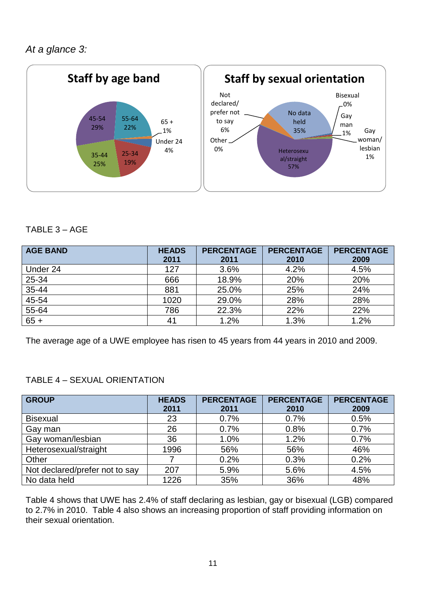

#### TABLE 3 – AGE

| <b>AGE BAND</b> | <b>HEADS</b><br>2011 | <b>PERCENTAGE</b><br>2011 | <b>PERCENTAGE</b><br>2010 | <b>PERCENTAGE</b><br>2009 |
|-----------------|----------------------|---------------------------|---------------------------|---------------------------|
| Under 24        | 127                  | 3.6%                      | 4.2%                      | 4.5%                      |
| 25-34           | 666                  | 18.9%                     | 20%                       | 20%                       |
| 35-44           | 881                  | 25.0%                     | 25%                       | 24%                       |
| $45 - 54$       | 1020                 | 29.0%                     | 28%                       | 28%                       |
| 55-64           | 786                  | 22.3%                     | 22%                       | 22%                       |
| $65 +$          | 41                   | 1.2%                      | 1.3%                      | 1.2%                      |

The average age of a UWE employee has risen to 45 years from 44 years in 2010 and 2009.

#### TABLE 4 – SEXUAL ORIENTATION

| <b>GROUP</b>                   | <b>HEADS</b> | <b>PERCENTAGE</b> | <b>PERCENTAGE</b> | <b>PERCENTAGE</b> |
|--------------------------------|--------------|-------------------|-------------------|-------------------|
|                                | 2011         | 2011              | 2010              | 2009              |
| <b>Bisexual</b>                | 23           | 0.7%              | 0.7%              | 0.5%              |
| Gay man                        | 26           | 0.7%              | 0.8%              | 0.7%              |
| Gay woman/lesbian              | 36           | 1.0%              | 1.2%              | 0.7%              |
| Heterosexual/straight          | 1996         | 56%               | 56%               | 46%               |
| Other                          |              | 0.2%              | 0.3%              | 0.2%              |
| Not declared/prefer not to say | 207          | 5.9%              | 5.6%              | 4.5%              |
| No data held                   | 1226         | 35%               | 36%               | 48%               |

Table 4 shows that UWE has 2.4% of staff declaring as lesbian, gay or bisexual (LGB) compared to 2.7% in 2010. Table 4 also shows an increasing proportion of staff providing information on their sexual orientation.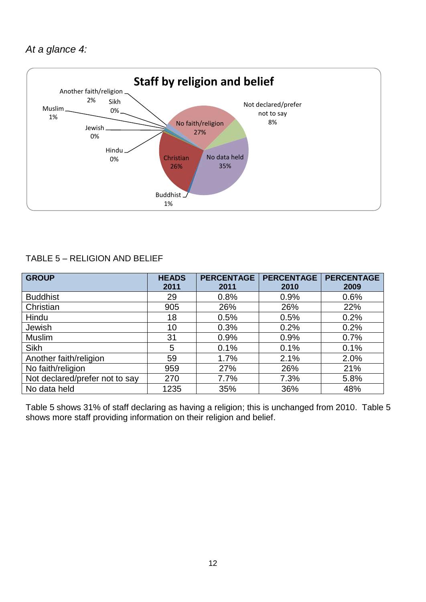

#### TABLE 5 – RELIGION AND BELIEF

| <b>GROUP</b>                   | <b>HEADS</b><br>2011 | <b>PERCENTAGE</b><br>2011 | <b>PERCENTAGE</b><br>2010 | <b>PERCENTAGE</b><br>2009 |
|--------------------------------|----------------------|---------------------------|---------------------------|---------------------------|
| <b>Buddhist</b>                | 29                   | 0.8%                      | 0.9%                      | 0.6%                      |
| Christian                      | 905                  | 26%                       | 26%                       | 22%                       |
| Hindu                          | 18                   | 0.5%                      | 0.5%                      | 0.2%                      |
| Jewish                         | 10                   | 0.3%                      | 0.2%                      | 0.2%                      |
| <b>Muslim</b>                  | 31                   | 0.9%                      | 0.9%                      | 0.7%                      |
| <b>Sikh</b>                    | 5                    | 0.1%                      | 0.1%                      | 0.1%                      |
| Another faith/religion         | 59                   | 1.7%                      | 2.1%                      | 2.0%                      |
| No faith/religion              | 959                  | 27%                       | 26%                       | 21%                       |
| Not declared/prefer not to say | 270                  | 7.7%                      | 7.3%                      | 5.8%                      |
| No data held                   | 1235                 | 35%                       | 36%                       | 48%                       |

Table 5 shows 31% of staff declaring as having a religion; this is unchanged from 2010. Table 5 shows more staff providing information on their religion and belief.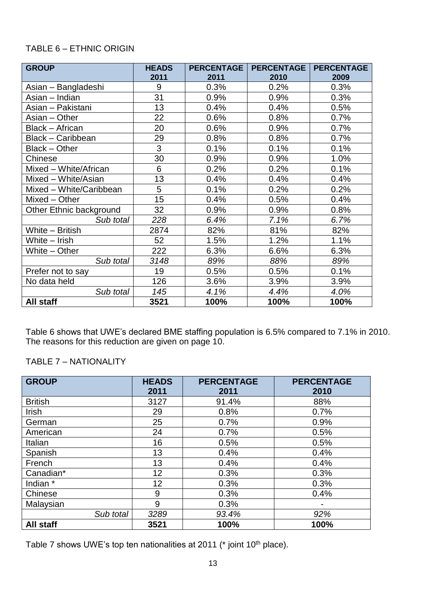#### TABLE 6 – ETHNIC ORIGIN

| <b>GROUP</b>             | <b>HEADS</b> | <b>PERCENTAGE</b> | <b>PERCENTAGE</b> | <b>PERCENTAGE</b> |
|--------------------------|--------------|-------------------|-------------------|-------------------|
|                          | 2011         | 2011              | 2010              | 2009              |
| Asian - Bangladeshi      | 9            | 0.3%              | 0.2%              | 0.3%              |
| Asian – Indian           | 31           | 0.9%              | 0.9%              | 0.3%              |
| Asian - Pakistani        | 13           | 0.4%              | 0.4%              | 0.5%              |
| Asian - Other            | 22           | 0.6%              | 0.8%              | 0.7%              |
| <b>Black - African</b>   | 20           | 0.6%              | 0.9%              | 0.7%              |
| <b>Black - Caribbean</b> | 29           | 0.8%              | 0.8%              | 0.7%              |
| Black - Other            | 3            | 0.1%              | 0.1%              | 0.1%              |
| Chinese                  | 30           | 0.9%              | 0.9%              | 1.0%              |
| Mixed - White/African    | 6            | 0.2%              | 0.2%              | 0.1%              |
| Mixed - White/Asian      | 13           | 0.4%              | 0.4%              | 0.4%              |
| Mixed - White/Caribbean  | 5            | 0.1%              | 0.2%              | 0.2%              |
| Mixed - Other            | 15           | 0.4%              | 0.5%              | 0.4%              |
| Other Ethnic background  | 32           | 0.9%              | 0.9%              | 0.8%              |
| Sub total                | 228          | 6.4%              | 7.1%              | 6.7%              |
| White - British          | 2874         | 82%               | 81%               | 82%               |
| White - Irish            | 52           | 1.5%              | 1.2%              | 1.1%              |
| White - Other            | 222          | 6.3%              | 6.6%              | 6.3%              |
| Sub total                | 3148         | 89%               | 88%               | 89%               |
| Prefer not to say        | 19           | 0.5%              | 0.5%              | 0.1%              |
| No data held             | 126          | 3.6%              | 3.9%              | 3.9%              |
| Sub total                | 145          | 4.1%              | 4.4%              | 4.0%              |
| All staff                | 3521         | 100%              | 100%              | 100%              |

Table 6 shows that UWE's declared BME staffing population is 6.5% compared to 7.1% in 2010. The reasons for this reduction are given on page 10.

#### TABLE 7 – NATIONALITY

| <b>GROUP</b>   | <b>HEADS</b><br>2011 | <b>PERCENTAGE</b><br>2011 | <b>PERCENTAGE</b><br>2010 |
|----------------|----------------------|---------------------------|---------------------------|
| <b>British</b> | 3127                 | 91.4%                     | 88%                       |
| Irish          | 29                   | 0.8%                      | 0.7%                      |
| German         | 25                   | 0.7%                      | 0.9%                      |
| American       | 24                   | 0.7%                      | 0.5%                      |
| Italian        | 16                   | 0.5%                      | 0.5%                      |
| Spanish        | 13                   | 0.4%                      | 0.4%                      |
| French         | 13                   | 0.4%                      | 0.4%                      |
| Canadian*      | 12                   | 0.3%                      | 0.3%                      |
| Indian *       | 12                   | 0.3%                      | 0.3%                      |
| Chinese        | 9                    | 0.3%                      | 0.4%                      |
| Malaysian      | 9                    | 0.3%                      |                           |
| Sub total      | 3289                 | 93.4%                     | 92%                       |
| All staff      | 3521                 | 100%                      | 100%                      |

Table 7 shows UWE's top ten nationalities at 2011 (\* joint 10<sup>th</sup> place).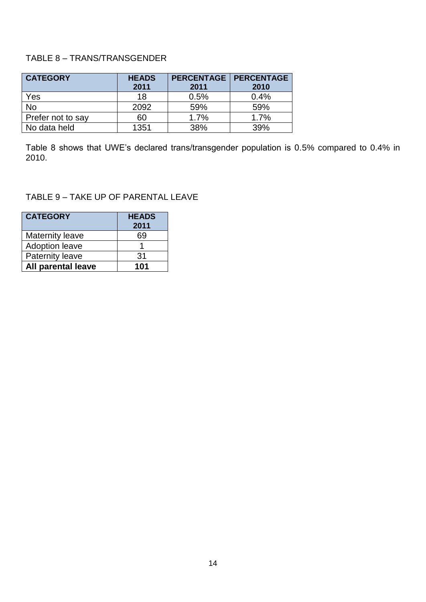#### TABLE 8 – TRANS/TRANSGENDER

| <b>CATEGORY</b>   | <b>HEADS</b> | <b>PERCENTAGE</b> | <b>PERCENTAGE</b> |
|-------------------|--------------|-------------------|-------------------|
|                   | 2011         | 2011              | 2010              |
| Yes               | 18           | 0.5%              | 0.4%              |
| No                | 2092         | 59%               | 59%               |
| Prefer not to say | 60           | 1.7%              | 1.7%              |
| No data held      | 1351         | 38%               | 39%               |

Table 8 shows that UWE's declared trans/transgender population is 0.5% compared to 0.4% in 2010.

#### TABLE 9 – TAKE UP OF PARENTAL LEAVE

| <b>CATEGORY</b>           | <b>HEADS</b><br>2011 |
|---------------------------|----------------------|
| <b>Maternity leave</b>    | 69                   |
| <b>Adoption leave</b>     |                      |
| <b>Paternity leave</b>    | 31                   |
| <b>All parental leave</b> | 101                  |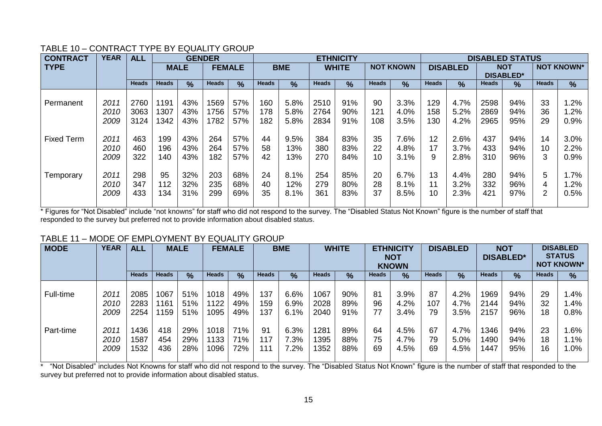| <b>CONTRACT</b>   | <b>YEAR</b>          | <b>ALL</b>        |                   |                   | <b>GENDER</b>     |                   |                | <b>ETHNICITY</b>    |                   |                   |                |                      |                | <b>DISABLED STATUS</b> |                                |                   |                   |                      |  |
|-------------------|----------------------|-------------------|-------------------|-------------------|-------------------|-------------------|----------------|---------------------|-------------------|-------------------|----------------|----------------------|----------------|------------------------|--------------------------------|-------------------|-------------------|----------------------|--|
| <b>TYPE</b>       |                      |                   |                   | <b>MALE</b>       |                   | <b>FEMALE</b>     |                | <b>BME</b>          |                   | <b>WHITE</b>      |                | <b>NOT KNOWN</b>     |                | <b>DISABLED</b>        | <b>NOT</b><br><b>DISABLED*</b> |                   | <b>NOT KNOWN*</b> |                      |  |
|                   |                      | <b>Heads</b>      | <b>Heads</b>      | $\frac{0}{2}$     | <b>Heads</b>      | $\frac{0}{0}$     | <b>Heads</b>   | $\%$                | <b>Heads</b>      | $\frac{9}{6}$     | <b>Heads</b>   | $\frac{9}{6}$        | <b>Heads</b>   | $\frac{0}{0}$          | <b>Heads</b>                   | $\frac{9}{6}$     | <b>Heads</b>      | %                    |  |
| Permanent         | 2011                 | 2760              | 1191              | 43%               | 1569              | 57%               | 160            | 5.8%                | 2510              | 91%               | 90             | 3.3%                 | 129            | 4.7%                   | 2598                           | 94%               | 33                | 1.2%                 |  |
|                   | 2010<br>2009         | 3063<br>3124      | 1307<br>1342      | 43%<br>43%        | 1756<br>1782      | 57%<br>57%        | 178<br>182     | 5.8%<br>5.8%        | 2764<br>2834      | 90%<br>91%        | 121<br>108     | 4.0%<br>3.5%         | 158<br>130     | 5.2%<br>4.2%           | 2869<br>2965                   | 94%<br>95%        | 36<br>29          | 1.2%<br>0.9%         |  |
| <b>Fixed Term</b> | 2011<br>2010<br>2009 | 463<br>460<br>322 | 199<br>196<br>140 | 43%<br>43%<br>43% | 264<br>264<br>182 | 57%<br>57%<br>57% | 44<br>58<br>42 | 9.5%<br>13%<br>13%  | 384<br>380<br>270 | 83%<br>83%<br>84% | 35<br>22<br>10 | 7.6%<br>4.8%<br>3.1% | 12<br>17<br>9  | 2.6%<br>3.7%<br>2.8%   | 437<br>433<br>310              | 94%<br>94%<br>96% | 14<br>10<br>3     | 3.0%<br>2.2%<br>0.9% |  |
| Temporary         | 2011<br>2010<br>2009 | 298<br>347<br>433 | 95<br>112<br>134  | 32%<br>32%<br>31% | 203<br>235<br>299 | 68%<br>68%<br>69% | 24<br>40<br>35 | 8.1%<br>12%<br>8.1% | 254<br>279<br>361 | 85%<br>80%<br>83% | 20<br>28<br>37 | 6.7%<br>8.1%<br>8.5% | 13<br>11<br>10 | 4.4%<br>3.2%<br>2.3%   | 280<br>332<br>421              | 94%<br>96%<br>97% | 5.<br>4<br>2.     | 1.7%<br>1.2%<br>0.5% |  |

#### TABLE 10 – CONTRACT TYPE BY EQUALITY GROUP

\* Figures for "Not Disabled" include "not knowns" for staff who did not respond to the survey. The "Disabled Status Not Known" figure is the number of staff that responded to the survey but preferred not to provide information about disabled status.

#### TABLE 11 – MODE OF EMPLOYMENT BY EQUALITY GROUP

| <b>MODE</b> | <b>YEAR</b> | <b>ALL</b>   |              | <b>MALE</b>   |              | <b>FEMALE</b> |              | <b>BME</b>    |              | <b>WHITE</b> |              | <b>ETHNICITY</b><br><b>NOT</b><br><b>KNOWN</b> |              | <b>DISABLED</b> |              | <b>NOT</b><br><b>DISABLED*</b> |              | <b>DISABLED</b><br><b>STATUS</b><br><b>NOT KNOWN*</b> |
|-------------|-------------|--------------|--------------|---------------|--------------|---------------|--------------|---------------|--------------|--------------|--------------|------------------------------------------------|--------------|-----------------|--------------|--------------------------------|--------------|-------------------------------------------------------|
|             |             | <b>Heads</b> | <b>Heads</b> | $\frac{9}{6}$ | <b>Heads</b> | $\frac{9}{6}$ | <b>Heads</b> | $\frac{9}{6}$ | <b>Heads</b> | %            | <b>Heads</b> | %                                              | <b>Heads</b> | $\frac{9}{6}$   | <b>Heads</b> | $\frac{9}{6}$                  | <b>Heads</b> | %                                                     |
| Full-time   | 2011        | 2085         | 1067         | 51%           | 1018         | 49%           | 137          | 6.6%          | 1067         | 90%          | 81           | 3.9%                                           | 87           | 4.2%            | 1969         | 94%                            | 29           | .4%                                                   |
|             | 2010        | 2283         | 1161         | 51%           | 1122         | 49%           | 159          | 6.9%          | 2028         | 89%          | 96           | 4.2%                                           | 107          | 4.7%            | 2144         | 94%                            | 32           | 1.4%                                                  |
|             | 2009        | 2254         | 1159         | 51%           | 1095         | 49%           | 137          | 6.1%          | 2040         | 91%          | 77           | 3.4%                                           | 79           | 3.5%            | 2157         | 96%                            | 18           | 0.8%                                                  |
| Part-time   | 2011        | 1436         | 418          | 29%           | 1018         | 71%           | 91           | 6.3%          | 1281         | 89%          | 64           | 4.5%                                           | 67           | 4.7%            | 1346         | 94%                            | 23           | $1.6\%$                                               |
|             | 2010        | 1587         | 454          | 29%           | 1133         | 71%           | 117          | 7.3%          | 1395         | 88%          | 75           | 4.7%                                           | 79           | 5.0%            | 1490         | 94%                            | 18           | 1.1%                                                  |
|             | 2009        | 1532         | 436          | 28%           | 1096         | 72%           | 111          | 7.2%          | 1352         | 88%          | 69           | 4.5%                                           | 69           | 4.5%            | 1447         | 95%                            | 16           | $1.0\%$                                               |

\* "Not Disabled" includes Not Knowns for staff who did not respond to the survey. The "Disabled Status Not Known" figure is the number of staff that responded to the survey but preferred not to provide information about disabled status.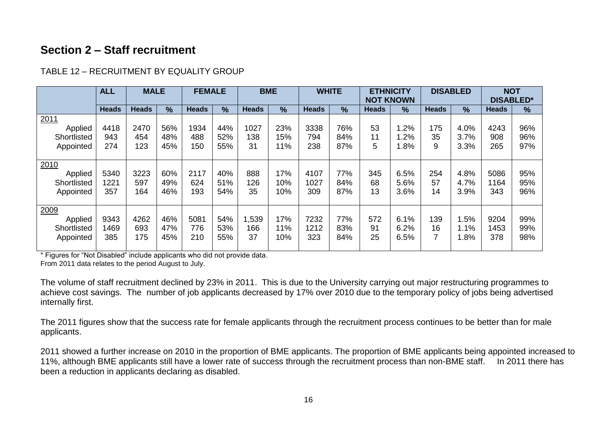## **Section 2 – Staff recruitment**

|                                             | <b>ALL</b>          | <b>MALE</b>        |                   | <b>FEMALE</b>      |                   | <b>BME</b>        |                   | <b>WHITE</b>        |                   | <b>ETHNICITY</b><br><b>NOT KNOWN</b> |                      |                 | <b>DISABLED</b>      | <b>NOT</b><br><b>DISABLED*</b> |                   |
|---------------------------------------------|---------------------|--------------------|-------------------|--------------------|-------------------|-------------------|-------------------|---------------------|-------------------|--------------------------------------|----------------------|-----------------|----------------------|--------------------------------|-------------------|
|                                             | <b>Heads</b>        | <b>Heads</b>       | $\frac{9}{6}$     | <b>Heads</b>       | $\frac{9}{6}$     | <b>Heads</b>      | $\frac{9}{6}$     | <b>Heads</b>        | $\frac{9}{6}$     | <b>Heads</b>                         | $\frac{9}{6}$        | <b>Heads</b>    | $\frac{9}{6}$        | <b>Heads</b>                   | $\frac{9}{6}$     |
| 2011<br>Applied<br>Shortlisted<br>Appointed | 4418<br>943<br>274  | 2470<br>454<br>123 | 56%<br>48%<br>45% | 1934<br>488<br>150 | 44%<br>52%<br>55% | 1027<br>138<br>31 | 23%<br>15%<br>11% | 3338<br>794<br>238  | 76%<br>84%<br>87% | 53<br>11<br>5                        | .2%<br>.2%<br>.8%    | 175<br>35<br>9  | 4.0%<br>3.7%<br>3.3% | 4243<br>908<br>265             | 96%<br>96%<br>97% |
| 2010<br>Applied<br>Shortlisted<br>Appointed | 5340<br>1221<br>357 | 3223<br>597<br>164 | 60%<br>49%<br>46% | 2117<br>624<br>193 | 40%<br>51%<br>54% | 888<br>126<br>35  | 17%<br>10%<br>10% | 4107<br>1027<br>309 | 77%<br>84%<br>87% | 345<br>68<br>13                      | 6.5%<br>5.6%<br>3.6% | 254<br>57<br>14 | 4.8%<br>4.7%<br>3.9% | 5086<br>1164<br>343            | 95%<br>95%<br>96% |
| 2009<br>Applied<br>Shortlisted<br>Appointed | 9343<br>1469<br>385 | 4262<br>693<br>175 | 46%<br>47%<br>45% | 5081<br>776<br>210 | 54%<br>53%<br>55% | ,539<br>166<br>37 | 17%<br>11%<br>10% | 7232<br>1212<br>323 | 77%<br>83%<br>84% | 572<br>91<br>25                      | 6.1%<br>6.2%<br>6.5% | 139<br>16<br>7  | .5%<br>1.1%<br>.8%   | 9204<br>1453<br>378            | 99%<br>99%<br>98% |

#### TABLE 12 – RECRUITMENT BY EQUALITY GROUP

\* Figures for "Not Disabled" include applicants who did not provide data.

From 2011 data relates to the period August to July.

The volume of staff recruitment declined by 23% in 2011. This is due to the University carrying out major restructuring programmes to achieve cost savings. The number of job applicants decreased by 17% over 2010 due to the temporary policy of jobs being advertised internally first.

The 2011 figures show that the success rate for female applicants through the recruitment process continues to be better than for male applicants.

2011 showed a further increase on 2010 in the proportion of BME applicants. The proportion of BME applicants being appointed increased to 11%, although BME applicants still have a lower rate of success through the recruitment process than non-BME staff. In 2011 there has been a reduction in applicants declaring as disabled.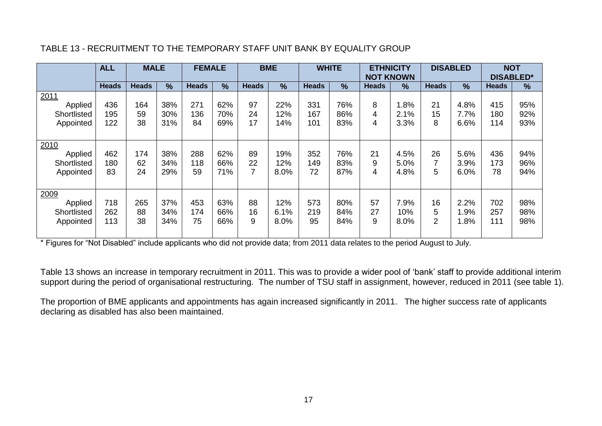|                                             | <b>ALL</b>        | <b>MALE</b>     |                   | <b>FEMALE</b>    |                   | <b>BME</b>    |                     | <b>WHITE</b>     |                   | <b>ETHNICITY</b><br><b>NOT KNOWN</b> |                      | <b>DISABLED</b> |                      | <b>NOT</b><br><b>DISABLED*</b> |                   |
|---------------------------------------------|-------------------|-----------------|-------------------|------------------|-------------------|---------------|---------------------|------------------|-------------------|--------------------------------------|----------------------|-----------------|----------------------|--------------------------------|-------------------|
|                                             | <b>Heads</b>      | <b>Heads</b>    | $\frac{0}{0}$     | <b>Heads</b>     | $\%$              | <b>Heads</b>  | $\frac{9}{6}$       | <b>Heads</b>     | $\frac{9}{6}$     | <b>Heads</b>                         | $\%$                 | <b>Heads</b>    | $\frac{9}{6}$        | <b>Heads</b>                   | $\frac{9}{6}$     |
| 2011<br>Applied<br>Shortlisted              | 436<br>195        | 164<br>59       | 38%<br>30%        | 271<br>136       | 62%<br>70%        | 97<br>24      | 22%<br>12%          | 331<br>167       | 76%<br>86%        | 8<br>4                               | 1.8%<br>2.1%         | 21<br>15        | 4.8%<br>7.7%         | 415<br>180                     | 95%<br>92%        |
| Appointed                                   | 122               | 38              | 31%               | 84               | 69%               | 17            | 14%                 | 101              | 83%               | 4                                    | 3.3%                 | 8               | 6.6%                 | 114                            | 93%               |
| 2010<br>Applied<br>Shortlisted<br>Appointed | 462<br>180<br>83  | 174<br>62<br>24 | 38%<br>34%<br>29% | 288<br>118<br>59 | 62%<br>66%<br>71% | 89<br>22      | 19%<br>12%<br>8.0%  | 352<br>149<br>72 | 76%<br>83%<br>87% | 21<br>9<br>4                         | 4.5%<br>5.0%<br>4.8% | 26<br>5         | 5.6%<br>3.9%<br>6.0% | 436<br>173<br>78               | 94%<br>96%<br>94% |
| 2009<br>Applied<br>Shortlisted<br>Appointed | 718<br>262<br>113 | 265<br>88<br>38 | 37%<br>34%<br>34% | 453<br>174<br>75 | 63%<br>66%<br>66% | 88<br>16<br>9 | 12%<br>6.1%<br>8.0% | 573<br>219<br>95 | 80%<br>84%<br>84% | 57<br>27<br>9                        | 7.9%<br>10%<br>8.0%  | 16<br>5<br>2    | 2.2%<br>.9%<br>1.8%  | 702<br>257<br>111              | 98%<br>98%<br>98% |

#### TABLE 13 - RECRUITMENT TO THE TEMPORARY STAFF UNIT BANK BY EQUALITY GROUP

\* Figures for "Not Disabled" include applicants who did not provide data; from 2011 data relates to the period August to July.

Table 13 shows an increase in temporary recruitment in 2011. This was to provide a wider pool of 'bank' staff to provide additional interim support during the period of organisational restructuring. The number of TSU staff in assignment, however, reduced in 2011 (see table 1).

The proportion of BME applicants and appointments has again increased significantly in 2011. The higher success rate of applicants declaring as disabled has also been maintained.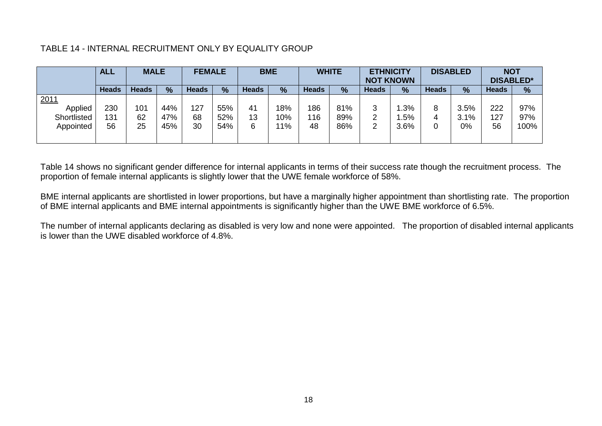#### TABLE 14 - INTERNAL RECRUITMENT ONLY BY EQUALITY GROUP

|             | <b>ALL</b>   | <b>MALE</b>  |               | <b>FEMALE</b> |     |              | <b>BME</b>    |              | <b>WHITE</b>  | <b>ETHNICITY</b><br><b>NOT KNOWN</b> |               |              | <b>DISABLED</b> | <b>NOT</b><br><b>DISABLED*</b> |               |
|-------------|--------------|--------------|---------------|---------------|-----|--------------|---------------|--------------|---------------|--------------------------------------|---------------|--------------|-----------------|--------------------------------|---------------|
|             | <b>Heads</b> | <b>Heads</b> | $\frac{9}{6}$ | <b>Heads</b>  | %   | <b>Heads</b> | $\frac{9}{6}$ | <b>Heads</b> | $\frac{9}{6}$ | <b>Heads</b>                         | $\frac{9}{6}$ | <b>Heads</b> | $\frac{9}{6}$   | <b>Heads</b>                   | $\frac{9}{6}$ |
| 2011        |              |              |               |               |     |              |               |              |               |                                      |               |              |                 |                                |               |
| Applied     | 230          | 101          | 44%           | 127           | 55% | 41           | 18%           | 186          | 81%           | っ<br>ت                               | .3%           | 8            | 3.5%            | 222                            | 97%           |
| Shortlisted | 131          | 62           | 47%           | 68            | 52% | 13           | 10%           | 116          | 89%           | ົ                                    | .5%           |              | 3.1%            | 127                            | 97%           |
| Appointed   | 56           | 25           | 45%           | 30            | 54% | 6            | $1\%$         | 48           | 86%           | ົ<br>ے                               | 3.6%          |              | 0%              | 56                             | 100%          |
|             |              |              |               |               |     |              |               |              |               |                                      |               |              |                 |                                |               |

Table 14 shows no significant gender difference for internal applicants in terms of their success rate though the recruitment process. The proportion of female internal applicants is slightly lower that the UWE female workforce of 58%.

BME internal applicants are shortlisted in lower proportions, but have a marginally higher appointment than shortlisting rate. The proportion of BME internal applicants and BME internal appointments is significantly higher than the UWE BME workforce of 6.5%.

The number of internal applicants declaring as disabled is very low and none were appointed. The proportion of disabled internal applicants is lower than the UWE disabled workforce of 4.8%.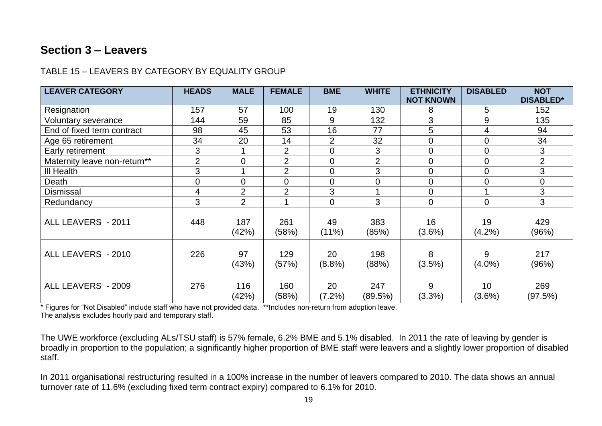## **Section 3 – Leavers**

#### TABLE 15 – LEAVERS BY CATEGORY BY EQUALITY GROUP

| <b>LEAVER CATEGORY</b>       | <b>HEADS</b>   | <b>MALE</b>    | <b>FEMALE</b>  | <b>BME</b>     | <b>WHITE</b>   | <b>ETHNICITY</b><br><b>NOT KNOWN</b> | <b>DISABLED</b>         | <b>NOT</b><br><b>DISABLED*</b> |
|------------------------------|----------------|----------------|----------------|----------------|----------------|--------------------------------------|-------------------------|--------------------------------|
| Resignation                  | 157            | 57             | 100            | 19             | 130            | 8                                    | 5                       | 152                            |
| Voluntary severance          | 144            | 59             | 85             | 9              | 132            | 3                                    | $\overline{9}$          | 135                            |
| End of fixed term contract   | 98             | 45             | 53             | 16             | 77             | 5                                    | 4                       | 94                             |
| Age 65 retirement            | 34             | 20             | 14             | $\overline{2}$ | 32             | $\overline{0}$                       | $\overline{0}$          | 34                             |
| Early retirement             | 3              |                | $\overline{2}$ | $\overline{0}$ | 3              | $\mathbf 0$                          | $\mathbf 0$             | 3                              |
| Maternity leave non-return** | $\overline{2}$ | $\mathbf 0$    | $\overline{2}$ | $\mathbf 0$    | $\overline{2}$ | $\overline{0}$                       | $\overline{0}$          | $\overline{2}$                 |
| III Health                   | 3              |                | $\overline{2}$ | $\mathbf 0$    | 3              | $\overline{0}$                       | $\mathbf 0$             | $\mathfrak{S}$                 |
| Death                        | 0              | $\mathbf 0$    | $\mathbf 0$    | $\overline{0}$ | $\mathbf 0$    | $\overline{0}$                       | $\overline{0}$          | $\mathbf 0$                    |
| <b>Dismissal</b>             | 4              | $\overline{2}$ | $\overline{2}$ | 3              |                | $\mathbf 0$                          | $\overline{\mathbf{A}}$ | 3                              |
| Redundancy                   | 3              | $\overline{2}$ |                | $\overline{0}$ | 3              | $\mathbf 0$                          | $\overline{0}$          | 3                              |
| ALL LEAVERS - 2011           | 448            | 187<br>(42%)   | 261<br>(58%)   | 49<br>(11%)    | 383<br>(85%)   | 16<br>$(3.6\%)$                      | 19<br>$(4.2\%)$         | 429<br>(96%)                   |
| ALL LEAVERS - 2010           | 226            | 97<br>(43%)    | 129<br>(57%)   | 20<br>(8.8%)   | 198<br>(88%)   | 8<br>$(3.5\%)$                       | 9<br>$(4.0\%)$          | 217<br>(96%)                   |
| ALL LEAVERS - 2009           | 276            | 116<br>(42%)   | 160<br>(58%)   | 20<br>(7.2%)   | 247<br>(89.5%) | 9<br>(3.3%)                          | 10<br>$(3.6\%)$         | 269<br>(97.5%)                 |

\* Figures for "Not Disabled" include staff who have not provided data. \*\*Includes non-return from adoption leave. The analysis excludes hourly paid and temporary staff.

The UWE workforce (excluding ALs/TSU staff) is 57% female, 6.2% BME and 5.1% disabled. In 2011 the rate of leaving by gender is broadly in proportion to the population; a significantly higher proportion of BME staff were leavers and a slightly lower proportion of disabled staff.

In 2011 organisational restructuring resulted in a 100% increase in the number of leavers compared to 2010. The data shows an annual turnover rate of 11.6% (excluding fixed term contract expiry) compared to 6.1% for 2010.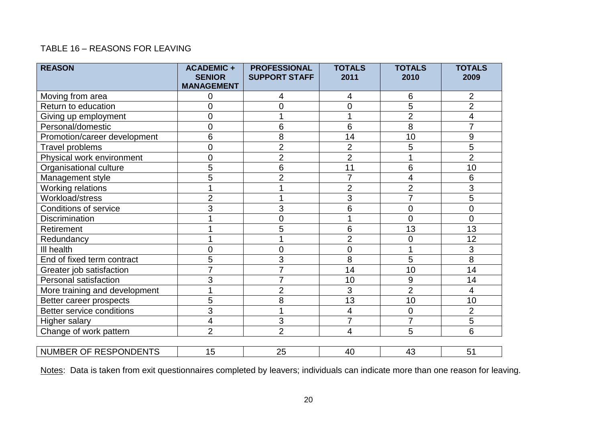#### TABLE 16 – REASONS FOR LEAVING

| <b>REASON</b>                    | <b>ACADEMIC +</b><br><b>SENIOR</b><br><b>MANAGEMENT</b> | <b>PROFESSIONAL</b><br><b>SUPPORT STAFF</b> | <b>TOTALS</b><br>2011 | <b>TOTALS</b><br>2010    | <b>TOTALS</b><br>2009 |
|----------------------------------|---------------------------------------------------------|---------------------------------------------|-----------------------|--------------------------|-----------------------|
| Moving from area                 | 0                                                       | 4                                           | 4                     | 6                        | 2                     |
| Return to education              | 0                                                       | 0                                           | $\mathbf 0$           | $\overline{5}$           | $\overline{2}$        |
| Giving up employment             | 0                                                       |                                             | 1                     | $\overline{2}$           | 4                     |
| Personal/domestic                | 0                                                       | 6                                           | $6\phantom{1}$        | 8                        | 7                     |
| Promotion/career development     | 6                                                       | 8                                           | 14                    | 10                       | 9                     |
| Travel problems                  | $\overline{0}$                                          | $\overline{2}$                              | $\overline{2}$        | 5                        | 5                     |
| Physical work environment        | 0                                                       | $\overline{2}$                              | $\overline{2}$        | 1                        | $\overline{2}$        |
| Organisational culture           | 5                                                       | 6                                           | 11                    | 6                        | 10                    |
| Management style                 | 5                                                       | $\overline{2}$                              | $\overline{7}$        | $\overline{\mathcal{A}}$ | 6                     |
| <b>Working relations</b>         |                                                         |                                             | $\overline{2}$        | $\overline{2}$           | 3                     |
| Workload/stress                  | $\overline{2}$                                          |                                             | 3                     | $\overline{7}$           | $\overline{5}$        |
| <b>Conditions of service</b>     | 3                                                       | 3                                           | 6                     | 0                        | 0                     |
| <b>Discrimination</b>            |                                                         | $\overline{0}$                              | 1                     | 0                        | $\overline{0}$        |
| Retirement                       |                                                         | 5                                           | 6                     | 13                       | 13                    |
| Redundancy                       |                                                         |                                             | $\overline{2}$        | 0                        | 12                    |
| III health                       | 0                                                       | $\overline{0}$                              | $\overline{0}$        | 1                        | 3                     |
| End of fixed term contract       | 5                                                       | 3                                           | 8                     | 5                        | 8                     |
| Greater job satisfaction         | $\overline{7}$                                          |                                             | 14                    | 10                       | 14                    |
| Personal satisfaction            | 3                                                       | $\overline{7}$                              | 10                    | 9                        | 14                    |
| More training and development    | 1                                                       | $\overline{2}$                              | 3                     | $\overline{2}$           | 4                     |
| Better career prospects          | 5                                                       | 8                                           | 13                    | 10                       | 10                    |
| <b>Better service conditions</b> | $\overline{3}$                                          |                                             | 4                     | 0                        | $\overline{2}$        |
| Higher salary                    | 4                                                       | 3                                           | $\overline{7}$        | $\overline{7}$           | 5                     |
| Change of work pattern           | $\overline{2}$                                          | $\overline{2}$                              | 4                     | 5                        | 6                     |
|                                  |                                                         |                                             |                       |                          |                       |
| NUMBER OF RESPONDENTS            | 15                                                      | 25                                          | 40                    | 43                       | 51                    |

Notes: Data is taken from exit questionnaires completed by leavers; individuals can indicate more than one reason for leaving.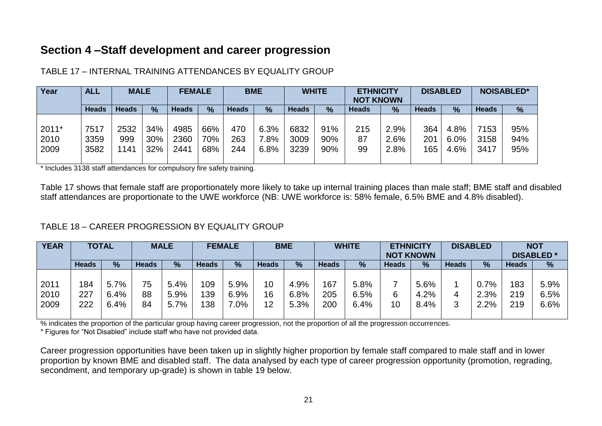## **Section 4 –Staff development and career progression**

| Year  | <b>ALL</b>   | <b>MALE</b>  |      | <b>FEMALE</b> |      |              | <b>BME</b>    |              | <b>WHITE</b> | <b>ETHNICITY</b><br><b>NOT KNOWN</b> |               |              | <b>DISABLED</b> |              | <b>NOISABLED*</b> |
|-------|--------------|--------------|------|---------------|------|--------------|---------------|--------------|--------------|--------------------------------------|---------------|--------------|-----------------|--------------|-------------------|
|       | <b>Heads</b> | <b>Heads</b> | $\%$ | Heads         | $\%$ | <b>Heads</b> | $\frac{9}{6}$ | <b>Heads</b> | %            | Heads                                | $\frac{9}{6}$ | <b>Heads</b> | $\frac{9}{6}$   | <b>Heads</b> | $\frac{9}{6}$     |
|       |              |              |      |               |      |              |               |              |              |                                      |               |              |                 |              |                   |
| 2011* | 7517         | 2532         | 34%  | 4985          | 66%  | 470          | 6.3%          | 6832         | 91%          | 215                                  | $2.9\%$       | 364          | 4.8%            | 7153         | 95%               |
| 2010  | 3359         | 999          | 30%  | 2360          | 70%  | 263          | $.8\%$        | 3009         | 90%          | 87                                   | 2.6%          | 201          | $6.0\%$         | 3158         | 94%               |
| 2009  | 3582         | 141          | 32%  | 2441          | 68%  | 244          | 6.8%          | 3239         | 90%          | 99                                   | 2.8%          | 165          | 4.6%            | 3417         | 95%               |
|       |              |              |      |               |      |              |               |              |              |                                      |               |              |                 |              |                   |

#### TABLE 17 – INTERNAL TRAINING ATTENDANCES BY EQUALITY GROUP

\* Includes 3138 staff attendances for compulsory fire safety training.

Table 17 shows that female staff are proportionately more likely to take up internal training places than male staff; BME staff and disabled staff attendances are proportionate to the UWE workforce (NB: UWE workforce is: 58% female, 6.5% BME and 4.8% disabled).

#### TABLE 18 – CAREER PROGRESSION BY EQUALITY GROUP

| <b>YEAR</b> |              | <b>TOTAL</b>  |              | <b>MALE</b> |              | <b>FEMALE</b> | <b>BME</b>   |      |              | <b>WHITE</b> | <b>NOT KNOWN</b> | <b>ETHNICITY</b> |              | <b>DISABLED</b> |              | <b>NOT</b><br><b>DISABLED*</b> |
|-------------|--------------|---------------|--------------|-------------|--------------|---------------|--------------|------|--------------|--------------|------------------|------------------|--------------|-----------------|--------------|--------------------------------|
|             | <b>Heads</b> | $\frac{9}{6}$ | <b>Heads</b> | %           | <b>Heads</b> | $\frac{9}{6}$ | <b>Heads</b> | %    | <b>Heads</b> | %            | <b>Heads</b>     | $\%$             | <b>Heads</b> | %               | <b>Heads</b> | %                              |
|             |              |               |              |             |              |               |              |      |              |              |                  |                  |              |                 |              |                                |
| 2011        | 184          | 5.7%          | 75           | 5.4%        | 109          | 5.9%          | 10           | 4.9% | 167          | 5.8%         |                  | 5.6%             |              | $0.7\%$         | 183          | 5.9%                           |
| 2010        | 227          | 6.4%          | 88           | 5.9%        | 139          | 6.9%          | 16           | 6.8% | 205          | 6.5%         | 6                | 4.2%             |              | 2.3%            | 219          | 6.5%                           |
| 2009        | 222          | 6.4%          | 84           | 5.7%        | 138          | $7.0\%$       | 12           | 5.3% | 200          | 6.4%         | 10               | 8.4%             | ົ            | 2.2%            | 219          | 6.6%                           |
|             |              |               |              |             |              |               |              |      |              |              |                  |                  |              |                 |              |                                |

% indicates the proportion of the particular group having career progression, not the proportion of all the progression occurrences.

\* Figures for "Not Disabled" include staff who have not provided data.

Career progression opportunities have been taken up in slightly higher proportion by female staff compared to male staff and in lower proportion by known BME and disabled staff. The data analysed by each type of career progression opportunity (promotion, regrading, secondment, and temporary up-grade) is shown in table 19 below.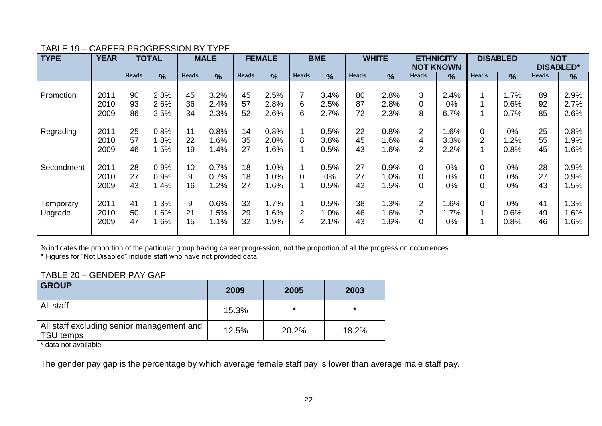#### **TYPE YEAR TOTAL MALE FEMALE BME WHITE ETHNICITY NOT KNOWN**<br>Heads  $\frac{1}{1}$  % **DISABLED NOT DISABLED\***<br>Heads | % **Heads % Heads % Heads % Heads % Heads % Heads % Heads % Heads %** Promotion Regrading **Secondment Temporary** Upgrade 2011 2010 2009 2011 2010 2009 2011 2010 2009 2011 2010 2009 90 93 86 25 57 46 28 27 43 41 50 47 2.8% 2.6% 2.5% 0.8% 1.8% 1.5% 0.9% 0.9% 1.4% 1.3% 1.6% 1.6% 45 36 34 11 22 19 10 9 16 9 21 15 3.2% 2.4% 2.3% 0.8% 1.6% 1.4% 0.7% 0.7% 1.2% 0.6% 1.5% 1.1% 45 57 52 14 35 27 18 18 27 32 29 32 2.5% 2.8% 2.6% 0.8% 2.0% 1.6% 1.0% 1.0% 1.6% 1.7% 1.6% 1.9% 7 6 6 1 8 1 1  $\Omega$ 1 1 2 4 3.4% 2.5% 2.7% 0.5% 3.8% 0.5% 0.5% 0% 0.5% 0.5% 1.0% 2.1% 80 87 72 22 45 43 27 27 42 38 46 43 2.8% 2.8% 2.3% 0.8% 1.6% 1.6% 0.9% 1.0% 1.5% 1.3% 1.6% 1.6% 3  $\Omega$ 8 2 4 2 0  $\Omega$  $\Omega$ 2 2  $\Omega$ 2.4% 0% 6.7% 1.6% 3.3% 2.2% 0% 0% 0% 1.6% 1.7% 0% 1 1 1 0 2 1 0  $\Omega$  $\Omega$ 0 1 1 1.7% 0.6% 0.7% 0% 1.2% 0.8% 0% 0% 0% 0% 0.6% 0.8%

89 92 85 2.9% 2.7% 2.6%

0.8% 1.9% 1.6%

0.9% 0.9% 1.5%

1.3% 1.6% 1.6%

25 55 45

28 27 43

41 49 46

## TABLE 19 – CAREER PROGRESSION BY TYPE<br>TYPE TYPE TOTAL TO MALE

% indicates the proportion of the particular group having career progression, not the proportion of all the progression occurrences.

\* Figures for "Not Disabled" include staff who have not provided data.

#### TABLE 20 – GENDER PAY GAP

| <b>GROUP</b>                                           | 2009  | 2005    | 2003    |
|--------------------------------------------------------|-------|---------|---------|
| All staff                                              | 15.3% | $\star$ | $\star$ |
| All staff excluding senior management and<br>TSU temps | 12.5% | 20.2%   | 18.2%   |

\* data not available

The gender pay gap is the percentage by which average female staff pay is lower than average male staff pay.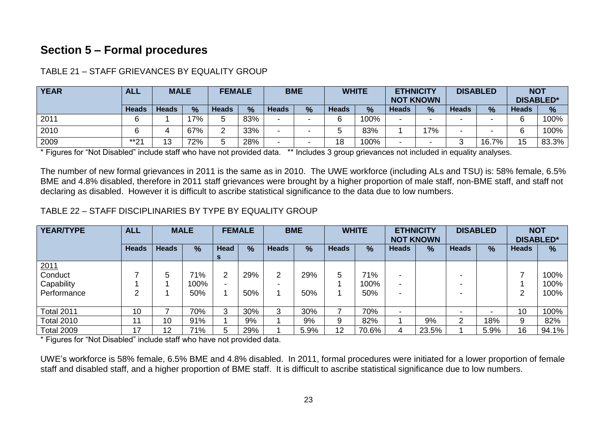## **Section 5 – Formal procedures**

| <b>YEAR</b> | ALL                                    |    | <b>MALE</b> |              | <b>FEMALE</b> | <b>BME</b>   |                          |              | <b>WHITE</b>  | <b>ETHNICITY</b><br><b>NOT KNOWN</b> |               |              | <b>DISABLED</b> | <b>NOT</b><br><b>DISABLED*</b> |               |
|-------------|----------------------------------------|----|-------------|--------------|---------------|--------------|--------------------------|--------------|---------------|--------------------------------------|---------------|--------------|-----------------|--------------------------------|---------------|
|             | $\frac{0}{0}$<br><b>Heads</b><br>Heads |    |             | <b>Heads</b> | %             | <b>Heads</b> | $\frac{0}{0}$            | <b>Heads</b> | $\frac{0}{0}$ | <b>Heads</b>                         | $\frac{9}{6}$ | <b>Heads</b> | $\frac{9}{6}$   | <b>Heads</b>                   | $\frac{9}{6}$ |
| 2011        |                                        |    | 17%         |              | 83%           | -            | $\,$                     | ี            | 100%          |                                      |               |              |                 |                                | 100%          |
| 2010        |                                        | д. | 67%         |              | 33%           | -            | $\overline{\phantom{a}}$ |              | 83%           |                                      | 17%           |              |                 |                                | 100%          |
| 2009        | $*$ *04<br>∠                           | 13 | 72%         |              | 28%           | -            | $\,$                     | 18           | 100%          |                                      | -             |              | 16.7%           | 15                             | 83.3%         |

TABLE 21 – STAFF GRIEVANCES BY EQUALITY GROUP

\* Figures for "Not Disabled" include staff who have not provided data. \*\* Includes 3 group grievances not included in equality analyses.

The number of new formal grievances in 2011 is the same as in 2010. The UWE workforce (including ALs and TSU) is: 58% female, 6.5% BME and 4.8% disabled, therefore in 2011 staff grievances were brought by a higher proportion of male staff, non-BME staff, and staff not declaring as disabled. However it is difficult to ascribe statistical significance to the data due to low numbers.

TABLE 22 – STAFF DISCIPLINARIES BY TYPE BY EQUALITY GROUP

| <b>YEAR/TYPE</b>  | <b>ALL</b>   |              | <b>MALE</b>   |                  | <b>FEMALE</b> |              | <b>BME</b>    |              | <b>WHITE</b> | <b>ETHNICITY</b> | <b>NOT KNOWN</b> |              | <b>DISABLED</b> | <b>NOT</b><br><b>DISABLED*</b> |       |
|-------------------|--------------|--------------|---------------|------------------|---------------|--------------|---------------|--------------|--------------|------------------|------------------|--------------|-----------------|--------------------------------|-------|
|                   | <b>Heads</b> | <b>Heads</b> | $\frac{9}{6}$ | Head<br><b>S</b> | $\frac{9}{6}$ | <b>Heads</b> | $\frac{9}{6}$ | <b>Heads</b> | %            | <b>Heads</b>     | $\frac{9}{6}$    | <b>Heads</b> | %               | <b>Heads</b>                   | %     |
| 2011<br>Conduct   |              | 5            | 71%           | $\overline{2}$   | 29%           | ◠            | 29%           | 5            | 71%          |                  |                  | -            |                 |                                | 100%  |
| Capability        |              |              | 100%          | -                |               |              |               |              | 100%         |                  |                  | -            |                 |                                | 100%  |
| Performance       | ົ            |              | 50%           |                  | 50%           |              | 50%           |              | 50%          |                  |                  | -            |                 | າ                              | 100%  |
| <b>Total 2011</b> | 10           |              | 70%           | 3                | 30%           | 3            | 30%           |              | 70%          |                  |                  | -            |                 | 10                             | 100%  |
| <b>Total 2010</b> | 11           | 10           | 91%           |                  | 9%            |              | 9%            | 9            | 82%          |                  | 9%               | ⌒            | 18%             | 9                              | 82%   |
| <b>Total 2009</b> | 17           | 12           | 71%           | 5                | 29%           |              | 5.9%          | 12           | 70.6%        |                  | 23.5%            |              | 5.9%            | 16                             | 94.1% |

\* Figures for "Not Disabled" include staff who have not provided data.

UWE's workforce is 58% female, 6.5% BME and 4.8% disabled. In 2011, formal procedures were initiated for a lower proportion of female staff and disabled staff, and a higher proportion of BME staff. It is difficult to ascribe statistical significance due to low numbers.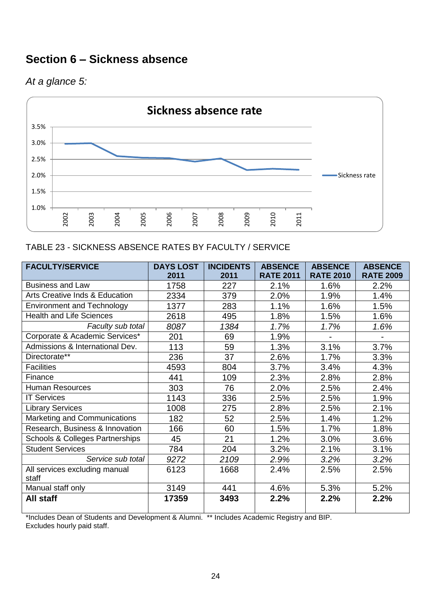## **Section 6 – Sickness absence**

## *At a glance 5:*



#### TABLE 23 - SICKNESS ABSENCE RATES BY FACULTY / SERVICE

| <b>FACULTY/SERVICE</b>                     | <b>DAYS LOST</b> | <b>INCIDENTS</b> | <b>ABSENCE</b>   | <b>ABSENCE</b>   | <b>ABSENCE</b>   |
|--------------------------------------------|------------------|------------------|------------------|------------------|------------------|
|                                            | 2011             | 2011             | <b>RATE 2011</b> | <b>RATE 2010</b> | <b>RATE 2009</b> |
| <b>Business and Law</b>                    | 1758             | 227              | 2.1%             | 1.6%             | 2.2%             |
| Arts Creative Inds & Education             | 2334             | 379              | 2.0%             | 1.9%             | 1.4%             |
| <b>Environment and Technology</b>          | 1377             | 283              | 1.1%             | 1.6%             | 1.5%             |
| <b>Health and Life Sciences</b>            | 2618             | 495              | 1.8%             | 1.5%             | 1.6%             |
| Faculty sub total                          | 8087             | 1384             | 1.7%             | 1.7%             | 1.6%             |
| Corporate & Academic Services*             | 201              | 69               | 1.9%             | Ξ.               |                  |
| Admissions & International Dev.            | 113              | 59               | 1.3%             | 3.1%             | 3.7%             |
| Directorate**                              | 236              | 37               | 2.6%             | 1.7%             | 3.3%             |
| <b>Facilities</b>                          | 4593             | 804              | 3.7%             | 3.4%             | 4.3%             |
| Finance                                    | 441              | 109              | 2.3%             | 2.8%             | 2.8%             |
| <b>Human Resources</b>                     | 303              | 76               | 2.0%             | 2.5%             | 2.4%             |
| <b>IT Services</b>                         | 1143             | 336              | 2.5%             | 2.5%             | 1.9%             |
| <b>Library Services</b>                    | 1008             | 275              | 2.8%             | 2.5%             | 2.1%             |
| Marketing and Communications               | 182              | 52               | 2.5%             | 1.4%             | 1.2%             |
| Research, Business & Innovation            | 166              | 60               | 1.5%             | 1.7%             | 1.8%             |
| <b>Schools &amp; Colleges Partnerships</b> | 45               | 21               | 1.2%             | 3.0%             | 3.6%             |
| <b>Student Services</b>                    | 784              | 204              | 3.2%             | 2.1%             | 3.1%             |
| Service sub total                          | 9272             | 2109             | 2.9%             | 3.2%             | 3.2%             |
| All services excluding manual              | 6123             | 1668             | 2.4%             | 2.5%             | 2.5%             |
| staff                                      |                  |                  |                  |                  |                  |
| Manual staff only                          | 3149             | 441              | 4.6%             | 5.3%             | 5.2%             |
| All staff                                  | 17359            | 3493             | 2.2%             | 2.2%             | 2.2%             |

\*Includes Dean of Students and Development & Alumni. \*\* Includes Academic Registry and BIP. Excludes hourly paid staff.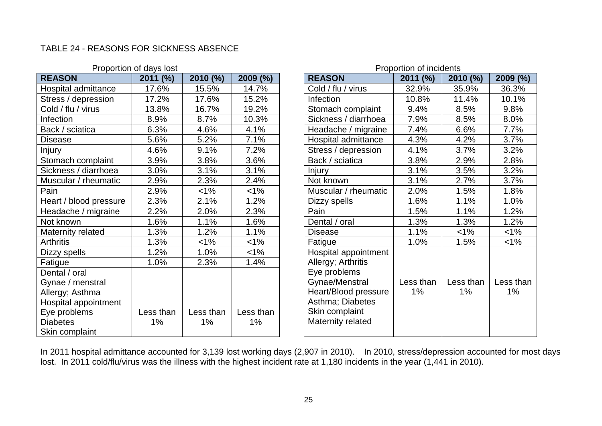#### TABLE 24 - REASONS FOR SICKNESS ABSENCE

|                        | Proportion of days lost |           |           |                      | Proportion of incidents |           |           |
|------------------------|-------------------------|-----------|-----------|----------------------|-------------------------|-----------|-----------|
| <b>REASON</b>          | 2011 (%)                | 2010 (%)  | 2009 (%)  | <b>REASON</b>        | 2011 (%)                | 2010 (%)  | 2009 (%)  |
| Hospital admittance    | 17.6%                   | 15.5%     | 14.7%     | Cold / flu / virus   | 32.9%                   | 35.9%     | 36.3%     |
| Stress / depression    | 17.2%                   | 17.6%     | 15.2%     | Infection            | 10.8%                   | 11.4%     | 10.1%     |
| Cold / flu / virus     | 13.8%                   | 16.7%     | 19.2%     | Stomach complaint    | 9.4%                    | 8.5%      | 9.8%      |
| Infection              | 8.9%                    | 8.7%      | 10.3%     | Sickness / diarrhoea | 7.9%                    | 8.5%      | 8.0%      |
| Back / sciatica        | 6.3%                    | 4.6%      | 4.1%      | Headache / migraine  | 7.4%                    | 6.6%      | $7.7\%$   |
| <b>Disease</b>         | 5.6%                    | 5.2%      | 7.1%      | Hospital admittance  | 4.2%                    | 3.7%      |           |
| Injury                 | 4.6%                    | 9.1%      | 7.2%      | Stress / depression  | 4.1%                    | 3.7%      | 3.2%      |
| Stomach complaint      | 3.9%                    | 3.8%      | 3.6%      | Back / sciatica      | 3.8%                    | 2.9%      | 2.8%      |
| Sickness / diarrhoea   | 3.0%                    | 3.1%      | 3.1%      | Injury               | 3.1%                    | 3.5%      | 3.2%      |
| Muscular / rheumatic   | 2.9%                    | 2.3%      | 2.4%      | Not known            | 3.1%                    | 2.7%      | 3.7%      |
| Pain                   | 2.9%                    | $1\%$     | $< 1\%$   | Muscular / rheumatic | 2.0%                    | 1.5%      | 1.8%      |
| Heart / blood pressure | 2.3%                    | 2.1%      | 1.2%      | Dizzy spells         | 1.6%                    | 1.1%      | 1.0%      |
| Headache / migraine    | 2.2%                    | 2.0%      | 2.3%      | Pain                 | 1.5%                    | 1.1%      | 1.2%      |
| Not known              | 1.6%                    | 1.1%      | 1.6%      | Dental / oral        | 1.3%                    | 1.3%      | 1.2%      |
| Maternity related      | 1.3%                    | 1.2%      | 1.1%      | <b>Disease</b>       | 1.1%                    | $1\%$     | $<$ 1%    |
| <b>Arthritis</b>       | 1.3%                    | $1\%$     | $< 1\%$   | Fatigue              | 1.0%                    | 1.5%      | $<$ 1%    |
| Dizzy spells           | 1.2%                    | 1.0%      | $< 1\%$   | Hospital appointment |                         |           |           |
| Fatigue                | 1.0%                    | 2.3%      | 1.4%      | Allergy; Arthritis   |                         |           |           |
| Dental / oral          |                         |           |           | Eye problems         |                         |           |           |
| Gynae / menstral       |                         |           |           | Gynae/Menstral       | Less than               | Less than | Less thar |
| Allergy; Asthma        |                         |           |           | Heart/Blood pressure | $1\%$                   | 1%        | $1\%$     |
| Hospital appointment   |                         |           |           | Asthma; Diabetes     |                         |           |           |
| Eye problems           | Less than               | Less than | Less than | Skin complaint       |                         |           |           |
| <b>Diabetes</b>        | 1%                      | $1\%$     | $1\%$     | Maternity related    |                         |           |           |
| Skin complaint         |                         |           |           |                      |                         |           |           |

|                              | Proportion of days lost | Proportion of incidents |                 |  |                                                                                                                   |                 |                    |                    |
|------------------------------|-------------------------|-------------------------|-----------------|--|-------------------------------------------------------------------------------------------------------------------|-----------------|--------------------|--------------------|
|                              | 2011 (%)                | 2010 (%)                | 2009 (%)        |  | <b>REASON</b>                                                                                                     | 2011 (%)        | 2010 (%)           | 2009 (%)           |
| ttance                       | 17.6%                   | 15.5%                   | 14.7%           |  | Cold / flu / virus                                                                                                | 32.9%           | 35.9%              | 36.3%              |
| ssion                        | 17.2%                   | 17.6%                   | 15.2%           |  | Infection                                                                                                         | 10.8%           | 11.4%              | 10.1%              |
| JS                           | 13.8%                   | 16.7%                   | 19.2%           |  | Stomach complaint                                                                                                 | 9.4%            | 8.5%               | 9.8%               |
|                              | 8.9%                    | 8.7%                    | 10.3%           |  | Sickness / diarrhoea                                                                                              | 7.9%            | 8.5%               | 8.0%               |
| a                            | 6.3%                    | 4.6%                    | 4.1%            |  | Headache / migraine                                                                                               | 7.4%            | 6.6%               | 7.7%               |
|                              | 5.6%                    | 5.2%                    | 7.1%            |  | Hospital admittance                                                                                               | 4.3%            | 4.2%               | 3.7%               |
|                              | 4.6%                    | 9.1%                    | 7.2%            |  | Stress / depression                                                                                               | 4.1%            | 3.7%               | 3.2%               |
| plaint                       | 3.9%                    | 3.8%                    | 3.6%            |  | Back / sciatica                                                                                                   | 3.8%            | 2.9%               | 2.8%               |
| urrhoea                      | 3.0%                    | 3.1%                    | 3.1%            |  | Injury                                                                                                            | 3.1%            | 3.5%               | 3.2%               |
| eumatic                      | 2.9%                    | 2.3%                    | 2.4%            |  | Not known                                                                                                         | 3.1%            | 2.7%               | 3.7%               |
|                              | 2.9%                    | $1\%$                   | $1\%$           |  | Muscular / rheumatic                                                                                              | 2.0%            | 1.5%               | 1.8%               |
| pressure                     | 2.3%                    | 2.1%                    | 1.2%            |  | Dizzy spells                                                                                                      | 1.6%            | 1.1%               | 1.0%               |
| iigraine                     | 2.2%                    | 2.0%                    | 2.3%            |  | Pain                                                                                                              | 1.5%            | 1.1%               | 1.2%               |
|                              | 1.6%                    | 1.1%                    | 1.6%            |  | Dental / oral                                                                                                     | 1.3%            | 1.3%               | 1.2%               |
| ted                          | 1.3%                    | 1.2%                    | 1.1%            |  | <b>Disease</b>                                                                                                    | 1.1%            | $1\%$              | $1\%$              |
|                              | 1.3%                    | $1\%$                   | $1\%$           |  | Fatigue                                                                                                           | 1.0%            | 1.5%               | $< 1\%$            |
|                              | 1.2%                    | 1.0%                    | $1\%$           |  | Hospital appointment                                                                                              |                 |                    |                    |
|                              | 1.0%                    | 2.3%                    | 1.4%            |  | Allergy; Arthritis                                                                                                |                 |                    |                    |
| stral<br>na<br>intment<br>١t | Less than<br>1%         | Less than<br>1%         | Less than<br>1% |  | Eye problems<br>Gynae/Menstral<br>Heart/Blood pressure<br>Asthma; Diabetes<br>Skin complaint<br>Maternity related | Less than<br>1% | Less than<br>$1\%$ | Less than<br>$1\%$ |

In 2011 hospital admittance accounted for 3,139 lost working days (2,907 in 2010). In 2010, stress/depression accounted for most days lost. In 2011 cold/flu/virus was the illness with the highest incident rate at 1,180 incidents in the year (1,441 in 2010).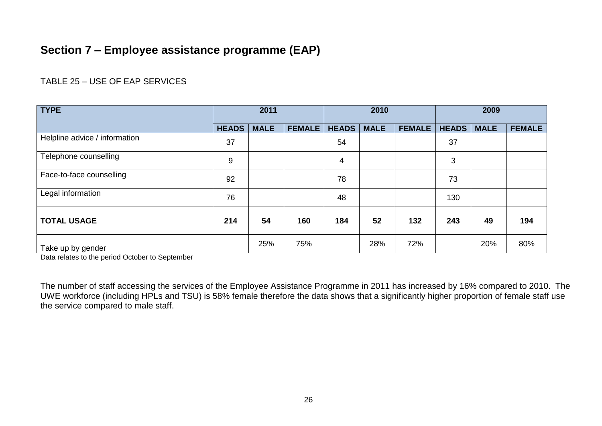## **Section 7 – Employee assistance programme (EAP)**

#### TABLE 25 – USE OF EAP SERVICES

| <b>TYPE</b>                   | 2011         |             | 2010          |              |             | 2009          |              |             |               |
|-------------------------------|--------------|-------------|---------------|--------------|-------------|---------------|--------------|-------------|---------------|
|                               | <b>HEADS</b> | <b>MALE</b> | <b>FEMALE</b> | <b>HEADS</b> | <b>MALE</b> | <b>FEMALE</b> | <b>HEADS</b> | <b>MALE</b> | <b>FEMALE</b> |
| Helpline advice / information | 37           |             |               | 54           |             |               | 37           |             |               |
| Telephone counselling         | 9            |             |               | 4            |             |               | 3            |             |               |
| Face-to-face counselling      | 92           |             |               | 78           |             |               | 73           |             |               |
| Legal information             | 76           |             |               | 48           |             |               | 130          |             |               |
| <b>TOTAL USAGE</b>            | 214          | 54          | 160           | 184          | 52          | 132           | 243          | 49          | 194           |
| Take up by gender             |              | 25%         | 75%           |              | 28%         | 72%           |              | 20%         | 80%           |

Data relates to the period October to September

The number of staff accessing the services of the Employee Assistance Programme in 2011 has increased by 16% compared to 2010. The UWE workforce (including HPLs and TSU) is 58% female therefore the data shows that a significantly higher proportion of female staff use the service compared to male staff.